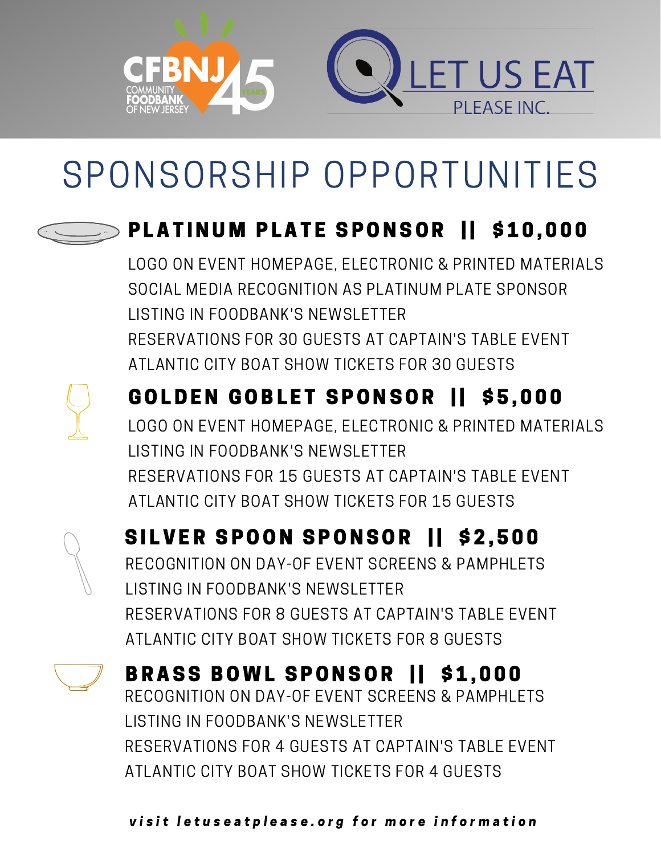

# SPONSORSHIP OPPORTUNITIES

### PLATINUM PLATE SPONSOR | \$10,000

LOGO ON EVENT HOMEPAGE, ELECTRONIC & PRINTED MATERIALS SOCIAL MEDIA RECOGNITION AS PLATINUM PLATE SPONSOR LISTING IN FOODBANK'S NEWSLETTER RESERVATIONS FOR 30 GUESTS AT CAPTAIN'S TABLE EVENT ATLANTIC CITY BOAT SHOW TICKETS FOR 30 GUESTS



#### GOLDEN GOBLET SPONSOR | \$5,000 LOGO ON EVENT HOMEPAGE, ELECTRONIC & PRINTED MATERIALS LISTING IN FOODBANK'S NEWSLETTER

RESERVATIONS FOR 15 GUESTS AT CAPTAIN'S TABLE EVENT ATLANTIC CITY BOAT SHOW TICKETS FOR 15 GUESTS



#### SILVER SPOON SPONSOR | \$2,500

RECOGNITION ON DAY-OF EVENT SCREENS & PAMPHLETS LISTING IN FOODBANK'S NEWSLETTER RESERVATIONS FOR 8 GUESTS AT CAPTAIN'S TABLE EVENT ATLANTIC CITY BOAT SHOW TICKETS FOR 8 GUESTS



#### BRASS BOWL SPONSOR 11 \$1,000

RECOGNITION ON DAY-OF EVENT SCREENS & PAMPHLETS LISTING IN FOODBANK'S NEWSLETTER RESERVATIONS FOR 4 GUESTS AT CAPTAIN'S TABLE EVENT ATLANTIC CITY BOAT SHOW TICKETS FOR 4 GUESTS